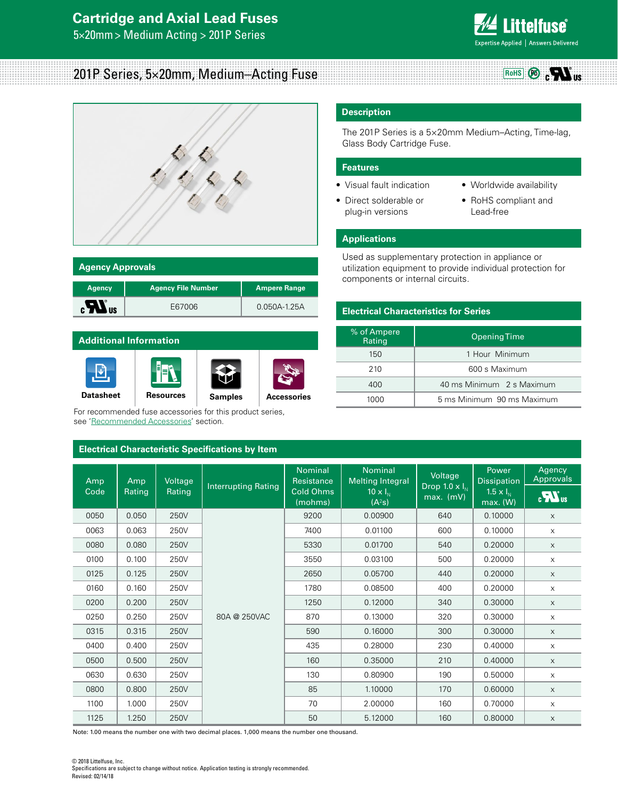## **Cartridge and Axial Lead Fuses**

5×20mm> Medium Acting > 201P Series



**RoHS Pb**

 $_{\rm c}$   $\boldsymbol{r}$   $\boldsymbol{w}$ 

## 201P Series, 5×20mm, Medium–Acting Fuse



| <b>Agency Approvals</b> |                           |                     |  |  |
|-------------------------|---------------------------|---------------------|--|--|
| <b>Agency</b>           | <b>Agency File Number</b> | <b>Ampere Range</b> |  |  |
| <b>\US</b>              | E67006                    | $0.050A - 1.25A$    |  |  |

# **Additional Information** 団 **[Datasheet](http://www.littelfuse.com/~/media/electronics/datasheets/fuses/littelfuse_fuse_201p_datasheet.pdf.pdf) [Resources](http://www.littelfuse.com/products/fuses/axial-radial-thru-hole-fuses/5x20mm-fuses/201.aspx#TechnicalResources) [Samples](http://www.littelfuse.com/products/fuses/axial-radial-thru-hole-fuses/5x20mm-fuses/201.aspx#ElectricalCharacteristics) [Accessories](http://www.littelfuse.com/electronics-fuse-accessories-hbc)**

For recommended fuse accessories for this product series, see 'Recommended Accessories' section.

#### **Electrical Characteristic Specifications by Item**

### **Description**

The 201P Series is a 5×20mm Medium–Acting, Time-lag, Glass Body Cartridge Fuse.

#### **Features**

- Visual fault indication
- Direct solderable or plug-in versions
- Worldwide availability
- RoHS compliant and Lead-free

#### **Applications**

Used as supplementary protection in appliance or utilization equipment to provide individual protection for components or internal circuits.

#### **Electrical Characteristics for Series**

| % of Ampere<br>Rating | Opening Time               |  |
|-----------------------|----------------------------|--|
| 150                   | 1 Hour Minimum             |  |
| 210                   | 600 s Maximum              |  |
| 400                   | 40 ms Minimum 2 s Maximum  |  |
| 1000                  | 5 ms Minimum 90 ms Maximum |  |

| Amp<br>Code | Amp<br>Rating | Voltage<br>Rating | <b>Interrupting Rating</b> | Nominal<br>Resistance<br><b>Cold Ohms</b><br>(mohms) | Nominal<br><b>Melting Integral</b><br>$10 \times I_{N}$<br>(A <sup>2</sup> S) | Voltage<br>Drop 1.0 $\times$ $I_N$<br>$max.$ (mV) | Power<br><b>Dissipation</b><br>$1.5 \times I_N$<br>max. (W) | Agency<br>Approvals<br>$\overline{\mathbf{R}}$ us |
|-------------|---------------|-------------------|----------------------------|------------------------------------------------------|-------------------------------------------------------------------------------|---------------------------------------------------|-------------------------------------------------------------|---------------------------------------------------|
| 0050        | 0.050         | 250V              |                            | 9200                                                 | 0.00900                                                                       | 640                                               | 0.10000                                                     | $\times$                                          |
| 0063        | 0.063         | 250V              |                            | 7400                                                 | 0.01100                                                                       | 600                                               | 0.10000                                                     | $\times$                                          |
| 0080        | 0.080         | 250V              |                            | 5330                                                 | 0.01700                                                                       | 540                                               | 0.20000                                                     | $\times$                                          |
| 0100        | 0.100         | 250V              |                            | 3550                                                 | 0.03100                                                                       | 500                                               | 0.20000                                                     | $\times$                                          |
| 0125        | 0.125         | 250V              |                            | 2650                                                 | 0.05700                                                                       | 440                                               | 0.20000                                                     | $\times$                                          |
| 0160        | 0.160         | 250V              |                            | 1780                                                 | 0.08500                                                                       | 400                                               | 0.20000                                                     | $\times$                                          |
| 0200        | 0.200         | 250V              |                            | 1250                                                 | 0.12000                                                                       | 340                                               | 0.30000                                                     | $\times$                                          |
| 0250        | 0.250         | 250V              | 80A @ 250VAC               | 870                                                  | 0.13000                                                                       | 320                                               | 0.30000                                                     | $\times$                                          |
| 0315        | 0.315         | 250V              |                            | 590                                                  | 0.16000                                                                       | 300                                               | 0.30000                                                     | $\times$                                          |
| 0400        | 0.400         | 250V              |                            | 435                                                  | 0.28000                                                                       | 230                                               | 0.40000                                                     | $\times$                                          |
| 0500        | 0.500         | 250V              |                            | 160                                                  | 0.35000                                                                       | 210                                               | 0.40000                                                     | $\times$                                          |
| 0630        | 0.630         | 250V              |                            | 130                                                  | 0.80900                                                                       | 190                                               | 0.50000                                                     | $\times$                                          |
| 0800        | 0.800         | 250V              |                            | 85                                                   | 1.10000                                                                       | 170                                               | 0.60000                                                     | $\times$                                          |
| 1100        | 1.000         | 250V              |                            | 70                                                   | 2.00000                                                                       | 160                                               | 0.70000                                                     | $\times$                                          |
| 1125        | 1.250         | 250V              |                            | 50                                                   | 5.12000                                                                       | 160                                               | 0.80000                                                     | $\times$                                          |

Note: 1.00 means the number one with two decimal places. 1,000 means the number one thousand.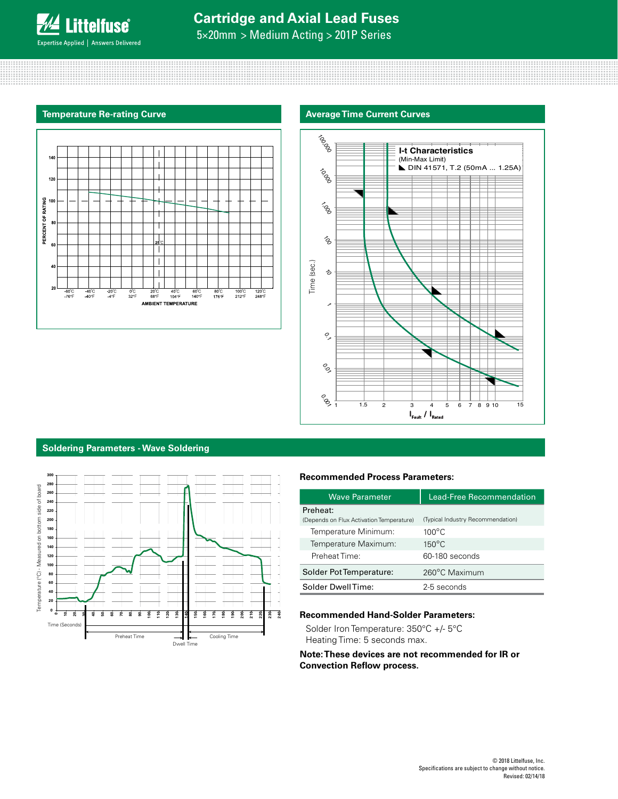

5×20mm > Medium Acting > 201P Series

#### **Temperature Re-rating Curve**





#### **Soldering Parameters - Wave Soldering**



#### **Recommended Process Parameters:**

| <b>Wave Parameter</b>                    | <b>Lead-Free Recommendation</b>   |
|------------------------------------------|-----------------------------------|
| Preheat:                                 |                                   |
| (Depends on Flux Activation Temperature) | (Typical Industry Recommendation) |
| Temperature Minimum:                     | $100^{\circ}$ C                   |
| Temperature Maximum:                     | $150^{\circ}$ C                   |
| Preheat Time:                            | 60-180 seconds                    |
| Solder Pot Temperature:                  | 260°C Maximum                     |
| Solder DwellTime:                        | 2-5 seconds                       |

#### **Recommended Hand-Solder Parameters:**

Solder Iron Temperature: 350°C +/- 5°C Heating Time: 5 seconds max.

**Note: These devices are not recommended for IR or Convection Reflow process.**